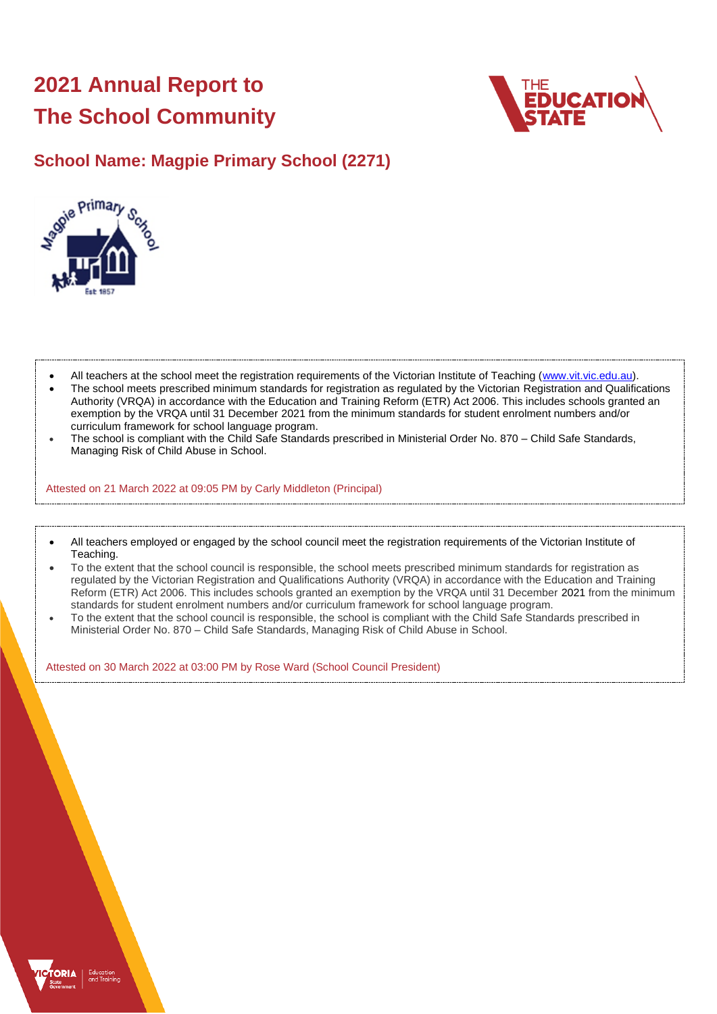# **2021 Annual Report to The School Community**



## **School Name: Magpie Primary School (2271)**



- All teachers at the school meet the registration requirements of the Victorian Institute of Teaching [\(www.vit.vic.edu.au\)](https://www.vit.vic.edu.au/).
- The school meets prescribed minimum standards for registration as regulated by the Victorian Registration and Qualifications Authority (VRQA) in accordance with the Education and Training Reform (ETR) Act 2006. This includes schools granted an exemption by the VRQA until 31 December 2021 from the minimum standards for student enrolment numbers and/or curriculum framework for school language program.
- The school is compliant with the Child Safe Standards prescribed in Ministerial Order No. 870 Child Safe Standards, Managing Risk of Child Abuse in School.

Attested on 21 March 2022 at 09:05 PM by Carly Middleton (Principal)

- All teachers employed or engaged by the school council meet the registration requirements of the Victorian Institute of Teaching.
- To the extent that the school council is responsible, the school meets prescribed minimum standards for registration as regulated by the Victorian Registration and Qualifications Authority (VRQA) in accordance with the Education and Training Reform (ETR) Act 2006. This includes schools granted an exemption by the VRQA until 31 December 2021 from the minimum standards for student enrolment numbers and/or curriculum framework for school language program.
- To the extent that the school council is responsible, the school is compliant with the Child Safe Standards prescribed in Ministerial Order No. 870 – Child Safe Standards, Managing Risk of Child Abuse in School.

Attested on 30 March 2022 at 03:00 PM by Rose Ward (School Council President)

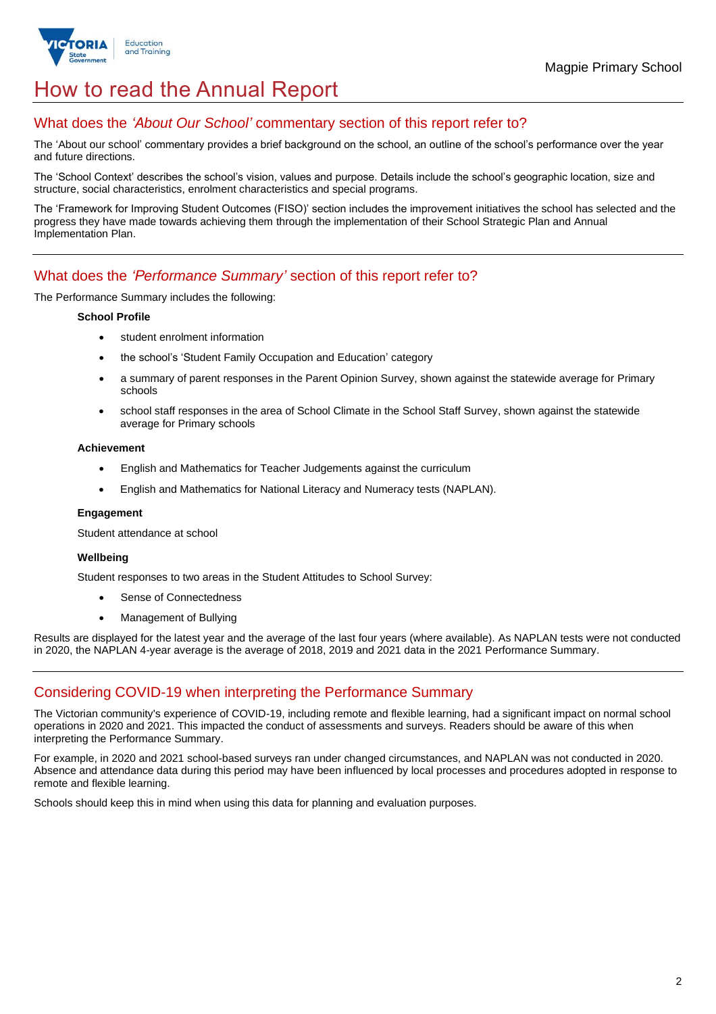

## How to read the Annual Report

## What does the *'About Our School'* commentary section of this report refer to?

The 'About our school' commentary provides a brief background on the school, an outline of the school's performance over the year and future directions.

The 'School Context' describes the school's vision, values and purpose. Details include the school's geographic location, size and structure, social characteristics, enrolment characteristics and special programs.

The 'Framework for Improving Student Outcomes (FISO)' section includes the improvement initiatives the school has selected and the progress they have made towards achieving them through the implementation of their School Strategic Plan and Annual Implementation Plan.

## What does the *'Performance Summary'* section of this report refer to?

The Performance Summary includes the following:

#### **School Profile**

- student enrolment information
- the school's 'Student Family Occupation and Education' category
- a summary of parent responses in the Parent Opinion Survey, shown against the statewide average for Primary schools
- school staff responses in the area of School Climate in the School Staff Survey, shown against the statewide average for Primary schools

#### **Achievement**

- English and Mathematics for Teacher Judgements against the curriculum
- English and Mathematics for National Literacy and Numeracy tests (NAPLAN).

#### **Engagement**

Student attendance at school

#### **Wellbeing**

Student responses to two areas in the Student Attitudes to School Survey:

- Sense of Connectedness
- Management of Bullying

Results are displayed for the latest year and the average of the last four years (where available). As NAPLAN tests were not conducted in 2020, the NAPLAN 4-year average is the average of 2018, 2019 and 2021 data in the 2021 Performance Summary.

## Considering COVID-19 when interpreting the Performance Summary

The Victorian community's experience of COVID-19, including remote and flexible learning, had a significant impact on normal school operations in 2020 and 2021. This impacted the conduct of assessments and surveys. Readers should be aware of this when interpreting the Performance Summary.

For example, in 2020 and 2021 school-based surveys ran under changed circumstances, and NAPLAN was not conducted in 2020. Absence and attendance data during this period may have been influenced by local processes and procedures adopted in response to remote and flexible learning.

Schools should keep this in mind when using this data for planning and evaluation purposes.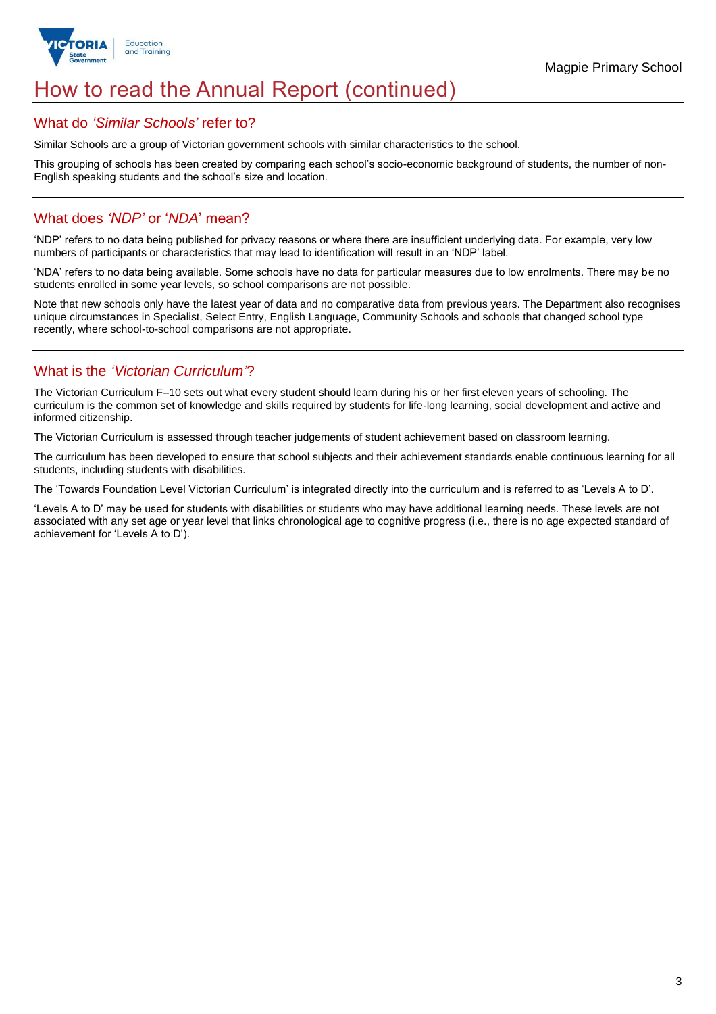

## How to read the Annual Report (continued)

### What do *'Similar Schools'* refer to?

Similar Schools are a group of Victorian government schools with similar characteristics to the school.

This grouping of schools has been created by comparing each school's socio-economic background of students, the number of non-English speaking students and the school's size and location.

## What does *'NDP'* or '*NDA*' mean?

'NDP' refers to no data being published for privacy reasons or where there are insufficient underlying data. For example, very low numbers of participants or characteristics that may lead to identification will result in an 'NDP' label.

'NDA' refers to no data being available. Some schools have no data for particular measures due to low enrolments. There may be no students enrolled in some year levels, so school comparisons are not possible.

Note that new schools only have the latest year of data and no comparative data from previous years. The Department also recognises unique circumstances in Specialist, Select Entry, English Language, Community Schools and schools that changed school type recently, where school-to-school comparisons are not appropriate.

## What is the *'Victorian Curriculum'*?

The Victorian Curriculum F–10 sets out what every student should learn during his or her first eleven years of schooling. The curriculum is the common set of knowledge and skills required by students for life-long learning, social development and active and informed citizenship.

The Victorian Curriculum is assessed through teacher judgements of student achievement based on classroom learning.

The curriculum has been developed to ensure that school subjects and their achievement standards enable continuous learning for all students, including students with disabilities.

The 'Towards Foundation Level Victorian Curriculum' is integrated directly into the curriculum and is referred to as 'Levels A to D'.

'Levels A to D' may be used for students with disabilities or students who may have additional learning needs. These levels are not associated with any set age or year level that links chronological age to cognitive progress (i.e., there is no age expected standard of achievement for 'Levels A to D').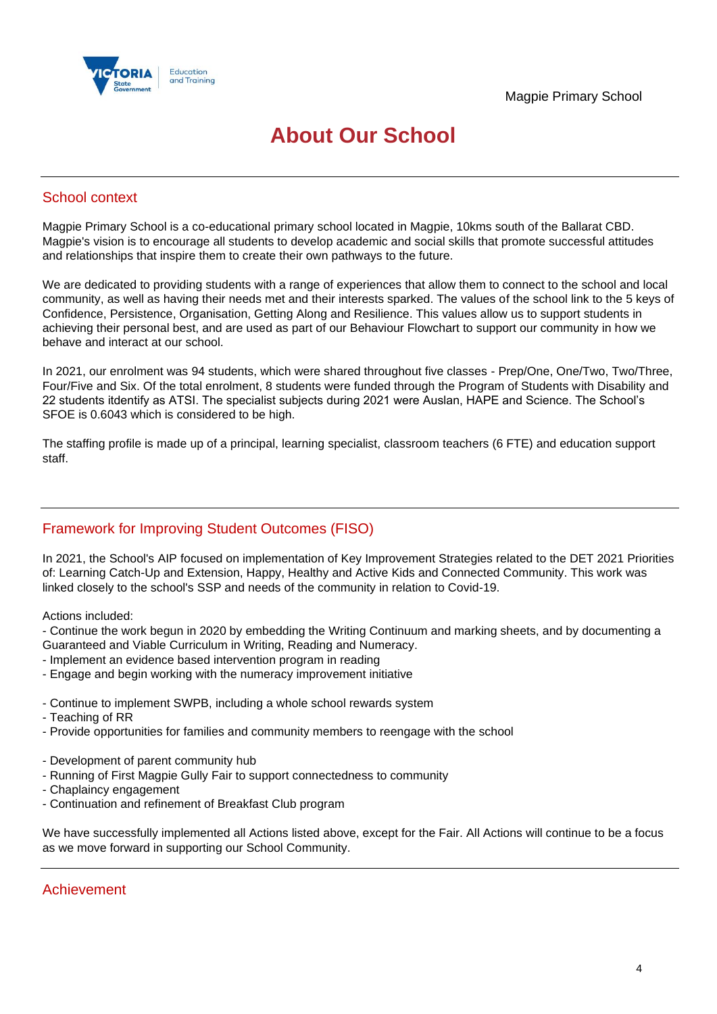

## **About Our School**

## School context

Magpie Primary School is a co-educational primary school located in Magpie, 10kms south of the Ballarat CBD. Magpie's vision is to encourage all students to develop academic and social skills that promote successful attitudes and relationships that inspire them to create their own pathways to the future.

We are dedicated to providing students with a range of experiences that allow them to connect to the school and local community, as well as having their needs met and their interests sparked. The values of the school link to the 5 keys of Confidence, Persistence, Organisation, Getting Along and Resilience. This values allow us to support students in achieving their personal best, and are used as part of our Behaviour Flowchart to support our community in how we behave and interact at our school.

In 2021, our enrolment was 94 students, which were shared throughout five classes - Prep/One, One/Two, Two/Three, Four/Five and Six. Of the total enrolment, 8 students were funded through the Program of Students with Disability and 22 students itdentify as ATSI. The specialist subjects during 2021 were Auslan, HAPE and Science. The School's SFOE is 0.6043 which is considered to be high.

The staffing profile is made up of a principal, learning specialist, classroom teachers (6 FTE) and education support staff.

## Framework for Improving Student Outcomes (FISO)

In 2021, the School's AIP focused on implementation of Key Improvement Strategies related to the DET 2021 Priorities of: Learning Catch-Up and Extension, Happy, Healthy and Active Kids and Connected Community. This work was linked closely to the school's SSP and needs of the community in relation to Covid-19.

Actions included:

- Continue the work begun in 2020 by embedding the Writing Continuum and marking sheets, and by documenting a Guaranteed and Viable Curriculum in Writing, Reading and Numeracy.

- Implement an evidence based intervention program in reading
- Engage and begin working with the numeracy improvement initiative
- Continue to implement SWPB, including a whole school rewards system
- Teaching of RR
- Provide opportunities for families and community members to reengage with the school
- Development of parent community hub
- Running of First Magpie Gully Fair to support connectedness to community
- Chaplaincy engagement
- Continuation and refinement of Breakfast Club program

We have successfully implemented all Actions listed above, except for the Fair. All Actions will continue to be a focus as we move forward in supporting our School Community.

## Achievement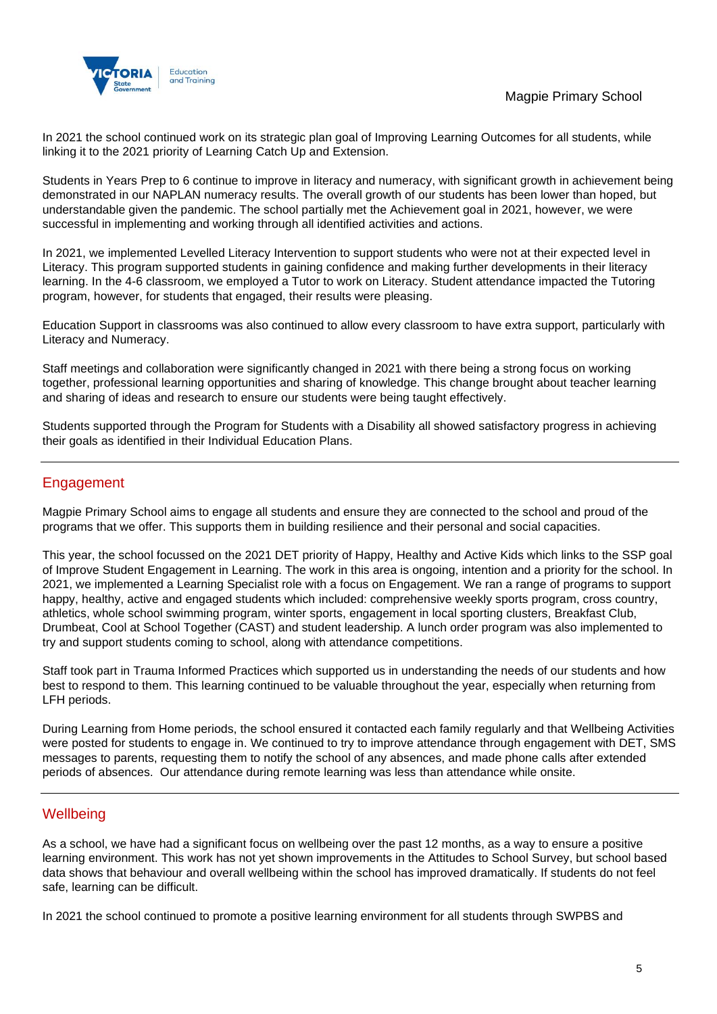

In 2021 the school continued work on its strategic plan goal of Improving Learning Outcomes for all students, while linking it to the 2021 priority of Learning Catch Up and Extension.

Students in Years Prep to 6 continue to improve in literacy and numeracy, with significant growth in achievement being demonstrated in our NAPLAN numeracy results. The overall growth of our students has been lower than hoped, but understandable given the pandemic. The school partially met the Achievement goal in 2021, however, we were successful in implementing and working through all identified activities and actions.

In 2021, we implemented Levelled Literacy Intervention to support students who were not at their expected level in Literacy. This program supported students in gaining confidence and making further developments in their literacy learning. In the 4-6 classroom, we employed a Tutor to work on Literacy. Student attendance impacted the Tutoring program, however, for students that engaged, their results were pleasing.

Education Support in classrooms was also continued to allow every classroom to have extra support, particularly with Literacy and Numeracy.

Staff meetings and collaboration were significantly changed in 2021 with there being a strong focus on working together, professional learning opportunities and sharing of knowledge. This change brought about teacher learning and sharing of ideas and research to ensure our students were being taught effectively.

Students supported through the Program for Students with a Disability all showed satisfactory progress in achieving their goals as identified in their Individual Education Plans.

## Engagement

Magpie Primary School aims to engage all students and ensure they are connected to the school and proud of the programs that we offer. This supports them in building resilience and their personal and social capacities.

This year, the school focussed on the 2021 DET priority of Happy, Healthy and Active Kids which links to the SSP goal of Improve Student Engagement in Learning. The work in this area is ongoing, intention and a priority for the school. In 2021, we implemented a Learning Specialist role with a focus on Engagement. We ran a range of programs to support happy, healthy, active and engaged students which included: comprehensive weekly sports program, cross country, athletics, whole school swimming program, winter sports, engagement in local sporting clusters, Breakfast Club, Drumbeat, Cool at School Together (CAST) and student leadership. A lunch order program was also implemented to try and support students coming to school, along with attendance competitions.

Staff took part in Trauma Informed Practices which supported us in understanding the needs of our students and how best to respond to them. This learning continued to be valuable throughout the year, especially when returning from LFH periods.

During Learning from Home periods, the school ensured it contacted each family regularly and that Wellbeing Activities were posted for students to engage in. We continued to try to improve attendance through engagement with DET, SMS messages to parents, requesting them to notify the school of any absences, and made phone calls after extended periods of absences. Our attendance during remote learning was less than attendance while onsite.

## **Wellbeing**

As a school, we have had a significant focus on wellbeing over the past 12 months, as a way to ensure a positive learning environment. This work has not yet shown improvements in the Attitudes to School Survey, but school based data shows that behaviour and overall wellbeing within the school has improved dramatically. If students do not feel safe, learning can be difficult.

In 2021 the school continued to promote a positive learning environment for all students through SWPBS and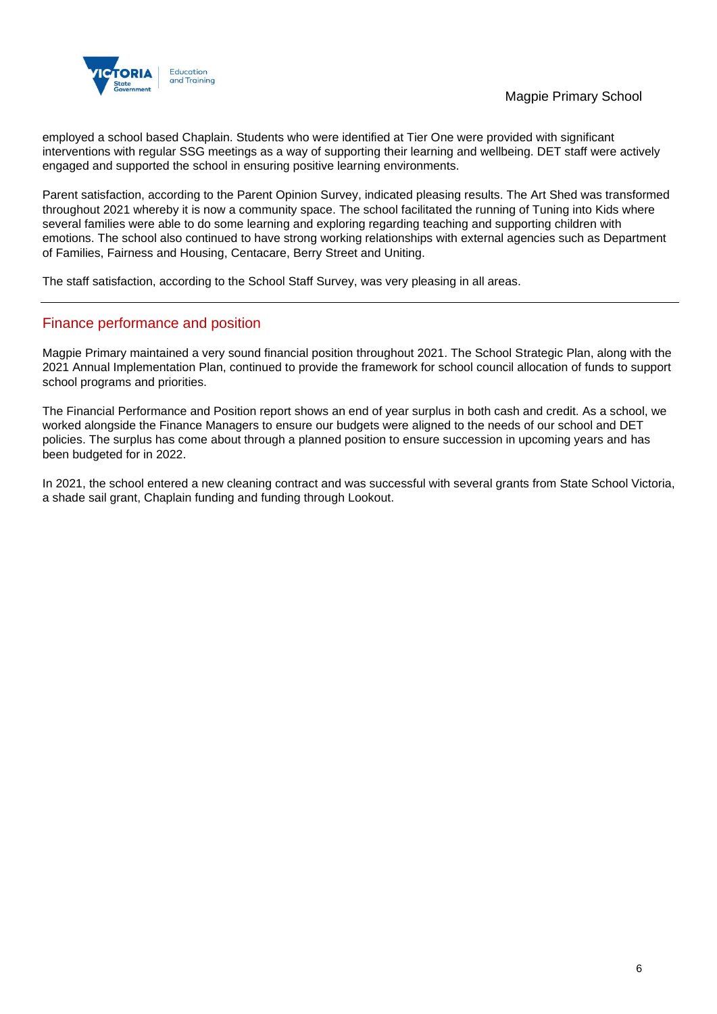



employed a school based Chaplain. Students who were identified at Tier One were provided with significant interventions with regular SSG meetings as a way of supporting their learning and wellbeing. DET staff were actively engaged and supported the school in ensuring positive learning environments.

Parent satisfaction, according to the Parent Opinion Survey, indicated pleasing results. The Art Shed was transformed throughout 2021 whereby it is now a community space. The school facilitated the running of Tuning into Kids where several families were able to do some learning and exploring regarding teaching and supporting children with emotions. The school also continued to have strong working relationships with external agencies such as Department of Families, Fairness and Housing, Centacare, Berry Street and Uniting.

The staff satisfaction, according to the School Staff Survey, was very pleasing in all areas.

## Finance performance and position

Magpie Primary maintained a very sound financial position throughout 2021. The School Strategic Plan, along with the 2021 Annual Implementation Plan, continued to provide the framework for school council allocation of funds to support school programs and priorities.

The Financial Performance and Position report shows an end of year surplus in both cash and credit. As a school, we worked alongside the Finance Managers to ensure our budgets were aligned to the needs of our school and DET policies. The surplus has come about through a planned position to ensure succession in upcoming years and has been budgeted for in 2022.

In 2021, the school entered a new cleaning contract and was successful with several grants from State School Victoria, a shade sail grant, Chaplain funding and funding through Lookout.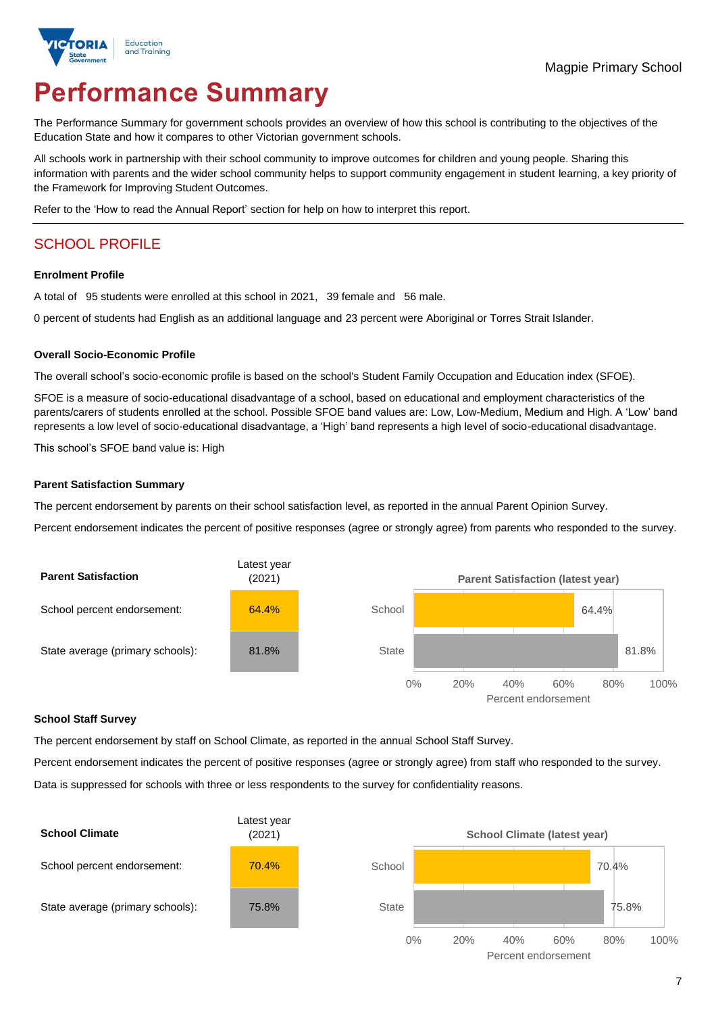

# **Performance Summary**

The Performance Summary for government schools provides an overview of how this school is contributing to the objectives of the Education State and how it compares to other Victorian government schools.

All schools work in partnership with their school community to improve outcomes for children and young people. Sharing this information with parents and the wider school community helps to support community engagement in student learning, a key priority of the Framework for Improving Student Outcomes.

Refer to the 'How to read the Annual Report' section for help on how to interpret this report.

## SCHOOL PROFILE

#### **Enrolment Profile**

A total of 95 students were enrolled at this school in 2021, 39 female and 56 male.

0 percent of students had English as an additional language and 23 percent were Aboriginal or Torres Strait Islander.

#### **Overall Socio-Economic Profile**

The overall school's socio-economic profile is based on the school's Student Family Occupation and Education index (SFOE).

SFOE is a measure of socio-educational disadvantage of a school, based on educational and employment characteristics of the parents/carers of students enrolled at the school. Possible SFOE band values are: Low, Low-Medium, Medium and High. A 'Low' band represents a low level of socio-educational disadvantage, a 'High' band represents a high level of socio-educational disadvantage.

This school's SFOE band value is: High

#### **Parent Satisfaction Summary**

The percent endorsement by parents on their school satisfaction level, as reported in the annual Parent Opinion Survey.

Percent endorsement indicates the percent of positive responses (agree or strongly agree) from parents who responded to the survey.



#### **School Staff Survey**

The percent endorsement by staff on School Climate, as reported in the annual School Staff Survey.

Percent endorsement indicates the percent of positive responses (agree or strongly agree) from staff who responded to the survey. Data is suppressed for schools with three or less respondents to the survey for confidentiality reasons.

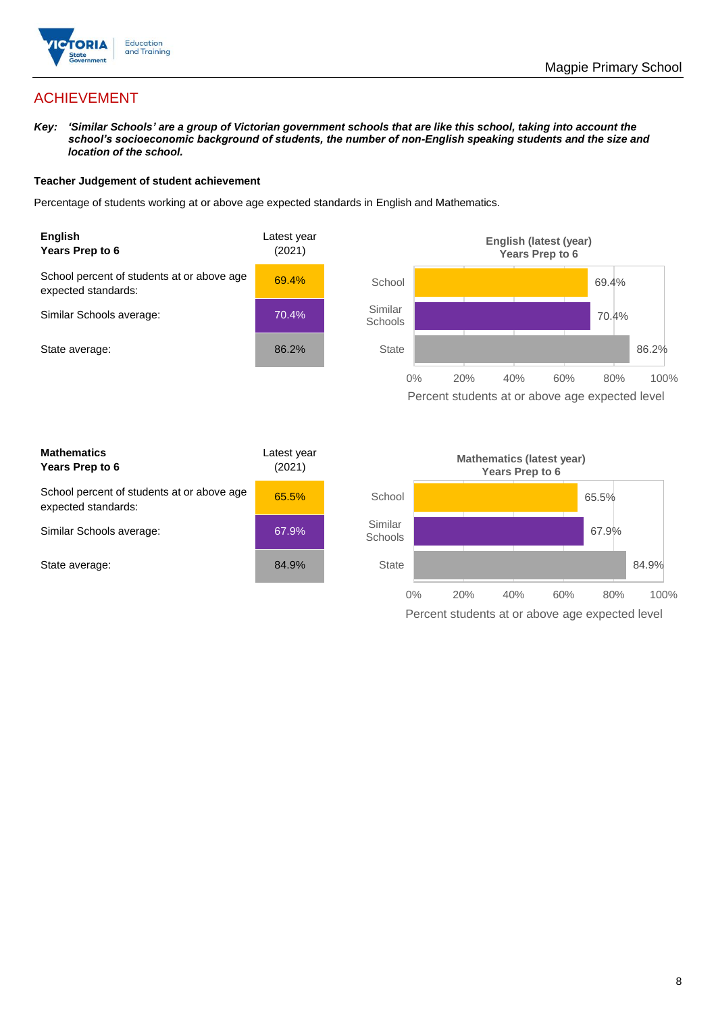

## ACHIEVEMENT

*Key: 'Similar Schools' are a group of Victorian government schools that are like this school, taking into account the school's socioeconomic background of students, the number of non-English speaking students and the size and location of the school.*

#### **Teacher Judgement of student achievement**

Percentage of students working at or above age expected standards in English and Mathematics.



Percent students at or above age expected level

| <b>Mathematics</b><br>Years Prep to 6                             | Latest year<br>(2021) |
|-------------------------------------------------------------------|-----------------------|
| School percent of students at or above age<br>expected standards: | 65.5%                 |
| Similar Schools average:                                          | 67.9%                 |
| State average:                                                    | 84.9%                 |

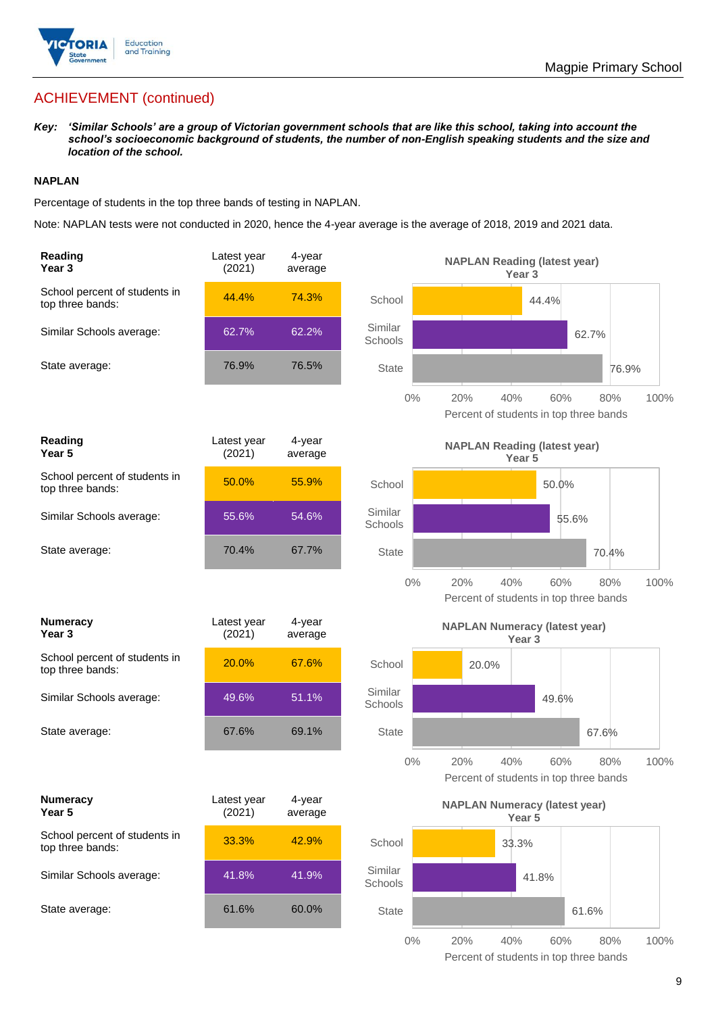

## ACHIEVEMENT (continued)

*Key: 'Similar Schools' are a group of Victorian government schools that are like this school, taking into account the school's socioeconomic background of students, the number of non-English speaking students and the size and location of the school.*

#### **NAPLAN**

Percentage of students in the top three bands of testing in NAPLAN.

Note: NAPLAN tests were not conducted in 2020, hence the 4-year average is the average of 2018, 2019 and 2021 data.

| Reading<br>Year 3                                 | Latest year<br>(2021) | 4-year<br>average |                    | <b>NAPLAN Reading (latest year)</b><br>Year <sub>3</sub>                   |
|---------------------------------------------------|-----------------------|-------------------|--------------------|----------------------------------------------------------------------------|
| School percent of students in<br>top three bands: | 44.4%                 | 74.3%             | School             | 44.4%                                                                      |
| Similar Schools average:                          | 62.7%                 | 62.2%             | Similar<br>Schools | 62.7%                                                                      |
| State average:                                    | 76.9%                 | 76.5%             | <b>State</b>       | 76.9%                                                                      |
|                                                   |                       |                   | $0\%$              | 20%<br>40%<br>60%<br>80%<br>100%<br>Percent of students in top three bands |
| Reading<br>Year <sub>5</sub>                      | Latest year<br>(2021) | 4-year<br>average |                    | <b>NAPLAN Reading (latest year)</b><br>Year 5                              |
| School percent of students in<br>top three bands: | 50.0%                 | 55.9%             | School             | 50.0%                                                                      |
| Similar Schools average:                          | 55.6%                 | 54.6%             | Similar<br>Schools | 55.6%                                                                      |
| State average:                                    | 70.4%                 | 67.7%             | <b>State</b>       | 70.4%                                                                      |
|                                                   |                       |                   | $0\%$              | 20%<br>40%<br>60%<br>80%<br>100%<br>Percent of students in top three bands |
|                                                   |                       |                   |                    |                                                                            |
| <b>Numeracy</b><br>Year <sub>3</sub>              | Latest year<br>(2021) | 4-year<br>average |                    | <b>NAPLAN Numeracy (latest year)</b><br>Year <sub>3</sub>                  |
| School percent of students in<br>top three bands: | 20.0%                 | 67.6%             | School             | 20.0%                                                                      |
| Similar Schools average:                          | 49.6%                 | 51.1%             | Similar<br>Schools | 49.6%                                                                      |
| State average:                                    | 67.6%                 | 69.1%             | <b>State</b>       | 67.6%                                                                      |
|                                                   |                       |                   | $0\%$              | 100%<br>20%<br>40%<br>60%<br>80%<br>Percent of students in top three bands |
| <b>Numeracy</b><br>Year 5                         | Latest year<br>(2021) | 4-year<br>average |                    | <b>NAPLAN Numeracy (latest year)</b><br>Year <sub>5</sub>                  |
| School percent of students in<br>top three bands: | 33.3%                 | 42.9%             | School             | 33.3%                                                                      |
| Similar Schools average:                          | 41.8%                 | 41.9%             | Similar<br>Schools | 41.8%                                                                      |
| State average:                                    | 61.6%                 | 60.0%             | State              | 61.6%                                                                      |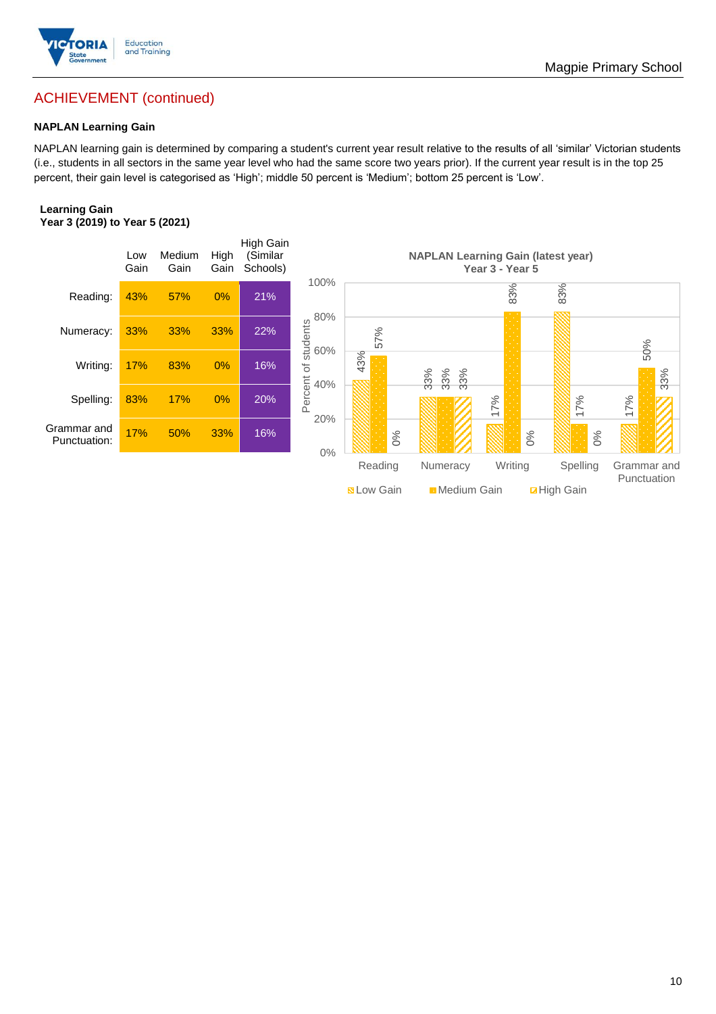

## ACHIEVEMENT (continued)

#### **NAPLAN Learning Gain**

NAPLAN learning gain is determined by comparing a student's current year result relative to the results of all 'similar' Victorian students (i.e., students in all sectors in the same year level who had the same score two years prior). If the current year result is in the top 25 percent, their gain level is categorised as 'High'; middle 50 percent is 'Medium'; bottom 25 percent is 'Low'.

#### **Learning Gain Year 3 (2019) to Year 5 (2021)**

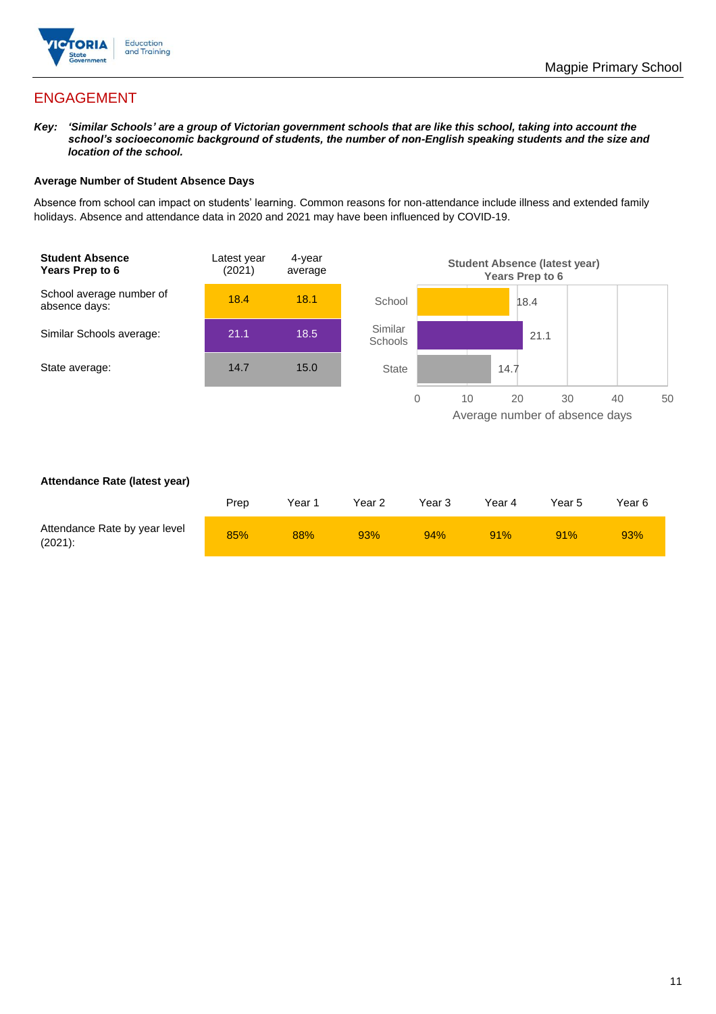

## ENGAGEMENT

*Key: 'Similar Schools' are a group of Victorian government schools that are like this school, taking into account the school's socioeconomic background of students, the number of non-English speaking students and the size and location of the school.*

#### **Average Number of Student Absence Days**

Absence from school can impact on students' learning. Common reasons for non-attendance include illness and extended family holidays. Absence and attendance data in 2020 and 2021 may have been influenced by COVID-19.



#### **Attendance Rate (latest year)**

|                                             | Prep | Year 1 | Year 2 | Year 3 | Year 4 | Year 5 | Year 6 |
|---------------------------------------------|------|--------|--------|--------|--------|--------|--------|
| Attendance Rate by year level<br>$(2021)$ : | 85%  | 88%    | 93%    | 94%    | 91%    | 91%    | 93%    |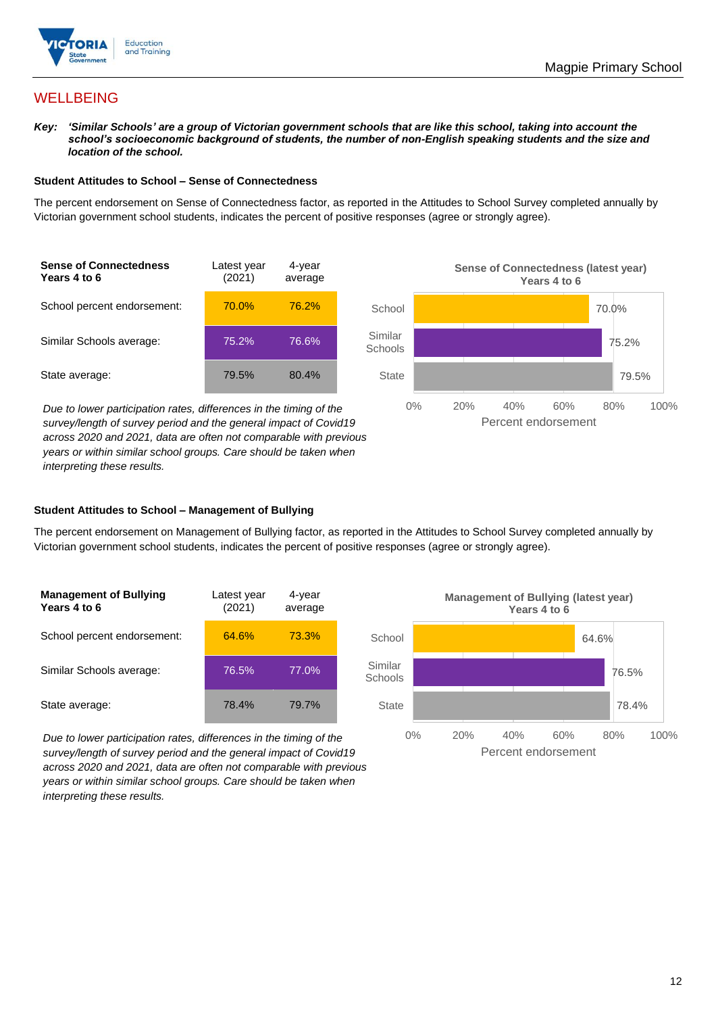

## **WELLBEING**

*Key: 'Similar Schools' are a group of Victorian government schools that are like this school, taking into account the school's socioeconomic background of students, the number of non-English speaking students and the size and location of the school.*

#### **Student Attitudes to School – Sense of Connectedness**

The percent endorsement on Sense of Connectedness factor, as reported in the Attitudes to School Survey completed annually by Victorian government school students, indicates the percent of positive responses (agree or strongly agree).



*Due to lower participation rates, differences in the timing of the survey/length of survey period and the general impact of Covid19 across 2020 and 2021, data are often not comparable with previous years or within similar school groups. Care should be taken when interpreting these results.*



#### **Student Attitudes to School – Management of Bullying**

The percent endorsement on Management of Bullying factor, as reported in the Attitudes to School Survey completed annually by Victorian government school students, indicates the percent of positive responses (agree or strongly agree).

| <b>Management of Bullying</b><br>Years 4 to 6 | Latest year<br>(2021) | 4-year<br>average |  |
|-----------------------------------------------|-----------------------|-------------------|--|
| School percent endorsement:                   | 64.6%                 | 73.3%             |  |
| Similar Schools average:                      | 76.5%                 | 77.0%             |  |
| State average:                                | 78.4%                 | 79.7%             |  |

*Due to lower participation rates, differences in the timing of the survey/length of survey period and the general impact of Covid19 across 2020 and 2021, data are often not comparable with previous years or within similar school groups. Care should be taken when interpreting these results.*

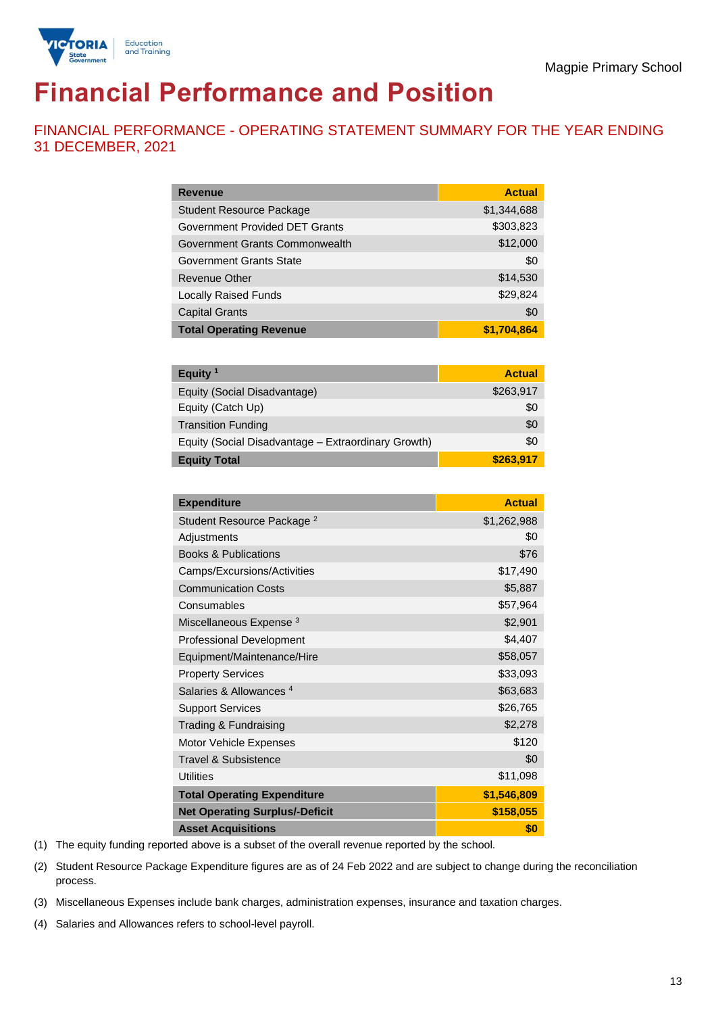

# **Financial Performance and Position**

FINANCIAL PERFORMANCE - OPERATING STATEMENT SUMMARY FOR THE YEAR ENDING 31 DECEMBER, 2021

| <b>Revenue</b>                  | <b>Actual</b> |
|---------------------------------|---------------|
| <b>Student Resource Package</b> | \$1,344,688   |
| Government Provided DET Grants  | \$303,823     |
| Government Grants Commonwealth  | \$12,000      |
| <b>Government Grants State</b>  | \$0           |
| Revenue Other                   | \$14,530      |
| <b>Locally Raised Funds</b>     | \$29,824      |
| <b>Capital Grants</b>           | \$0           |
| <b>Total Operating Revenue</b>  | \$1,704,864   |

| Equity $1$                                          | <b>Actual</b> |
|-----------------------------------------------------|---------------|
| Equity (Social Disadvantage)                        | \$263,917     |
| Equity (Catch Up)                                   | \$0           |
| <b>Transition Funding</b>                           | \$0           |
| Equity (Social Disadvantage - Extraordinary Growth) | \$0           |
| <b>Equity Total</b>                                 | \$263,917     |

| <b>Expenditure</b>                    | <b>Actual</b> |
|---------------------------------------|---------------|
| Student Resource Package <sup>2</sup> | \$1,262,988   |
| Adjustments                           | \$0           |
| <b>Books &amp; Publications</b>       | \$76          |
| Camps/Excursions/Activities           | \$17,490      |
| <b>Communication Costs</b>            | \$5,887       |
| Consumables                           | \$57,964      |
| Miscellaneous Expense <sup>3</sup>    | \$2,901       |
| <b>Professional Development</b>       | \$4,407       |
| Equipment/Maintenance/Hire            | \$58,057      |
| <b>Property Services</b>              | \$33,093      |
| Salaries & Allowances <sup>4</sup>    | \$63,683      |
| <b>Support Services</b>               | \$26,765      |
| Trading & Fundraising                 | \$2,278       |
| Motor Vehicle Expenses                | \$120         |
| Travel & Subsistence                  | \$0           |
| <b>Utilities</b>                      | \$11,098      |
| <b>Total Operating Expenditure</b>    | \$1,546,809   |
| <b>Net Operating Surplus/-Deficit</b> | \$158,055     |
| <b>Asset Acquisitions</b>             | \$0           |

(1) The equity funding reported above is a subset of the overall revenue reported by the school.

(2) Student Resource Package Expenditure figures are as of 24 Feb 2022 and are subject to change during the reconciliation process.

(3) Miscellaneous Expenses include bank charges, administration expenses, insurance and taxation charges.

(4) Salaries and Allowances refers to school-level payroll.